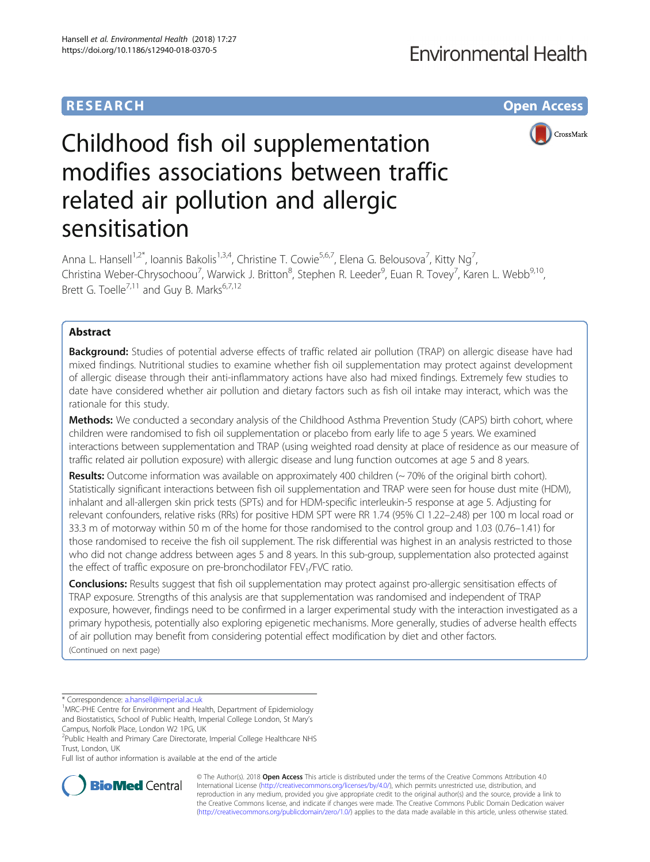## **RESEARCH CHE Open Access**



# Childhood fish oil supplementation modifies associations between traffic related air pollution and allergic sensitisation

Anna L. Hansell<sup>1,2\*</sup>, Ioannis Bakolis<sup>1,3,4</sup>, Christine T. Cowie<sup>5,6,7</sup>, Elena G. Belousova<sup>7</sup>, Kitty Ng<sup>7</sup> , Christina Weber-Chrysochoou<sup>7</sup>, Warwick J. Britton<sup>8</sup>, Stephen R. Leeder<sup>9</sup>, Euan R. Tovey<sup>7</sup>, Karen L. Webb<sup>9,10</sup>, Brett G. Toelle<sup>7,11</sup> and Guy B. Marks<sup>6,7,12</sup>

## Abstract

**Background:** Studies of potential adverse effects of traffic related air pollution (TRAP) on allergic disease have had mixed findings. Nutritional studies to examine whether fish oil supplementation may protect against development of allergic disease through their anti-inflammatory actions have also had mixed findings. Extremely few studies to date have considered whether air pollution and dietary factors such as fish oil intake may interact, which was the rationale for this study.

Methods: We conducted a secondary analysis of the Childhood Asthma Prevention Study (CAPS) birth cohort, where children were randomised to fish oil supplementation or placebo from early life to age 5 years. We examined interactions between supplementation and TRAP (using weighted road density at place of residence as our measure of traffic related air pollution exposure) with allergic disease and lung function outcomes at age 5 and 8 years.

Results: Outcome information was available on approximately 400 children (~70% of the original birth cohort). Statistically significant interactions between fish oil supplementation and TRAP were seen for house dust mite (HDM), inhalant and all-allergen skin prick tests (SPTs) and for HDM-specific interleukin-5 response at age 5. Adjusting for relevant confounders, relative risks (RRs) for positive HDM SPT were RR 1.74 (95% CI 1.22–2.48) per 100 m local road or 33.3 m of motorway within 50 m of the home for those randomised to the control group and 1.03 (0.76–1.41) for those randomised to receive the fish oil supplement. The risk differential was highest in an analysis restricted to those who did not change address between ages 5 and 8 years. In this sub-group, supplementation also protected against the effect of traffic exposure on pre-bronchodilator  $FEV<sub>1</sub>/FVC$  ratio.

Conclusions: Results suggest that fish oil supplementation may protect against pro-allergic sensitisation effects of TRAP exposure. Strengths of this analysis are that supplementation was randomised and independent of TRAP exposure, however, findings need to be confirmed in a larger experimental study with the interaction investigated as a primary hypothesis, potentially also exploring epigenetic mechanisms. More generally, studies of adverse health effects of air pollution may benefit from considering potential effect modification by diet and other factors. (Continued on next page)

\* Correspondence: [a.hansell@imperial.ac.uk](mailto:a.hansell@imperial.ac.uk) <sup>1</sup>

Full list of author information is available at the end of the article



© The Author(s). 2018 Open Access This article is distributed under the terms of the Creative Commons Attribution 4.0 International License [\(http://creativecommons.org/licenses/by/4.0/](http://creativecommons.org/licenses/by/4.0/)), which permits unrestricted use, distribution, and reproduction in any medium, provided you give appropriate credit to the original author(s) and the source, provide a link to the Creative Commons license, and indicate if changes were made. The Creative Commons Public Domain Dedication waiver [\(http://creativecommons.org/publicdomain/zero/1.0/](http://creativecommons.org/publicdomain/zero/1.0/)) applies to the data made available in this article, unless otherwise stated.

<sup>&</sup>lt;sup>1</sup> MRC-PHE Centre for Environment and Health, Department of Epidemiology and Biostatistics, School of Public Health, Imperial College London, St Mary's Campus, Norfolk Place, London W2 1PG, UK

<sup>&</sup>lt;sup>2</sup>Public Health and Primary Care Directorate, Imperial College Healthcare NHS Trust, London, UK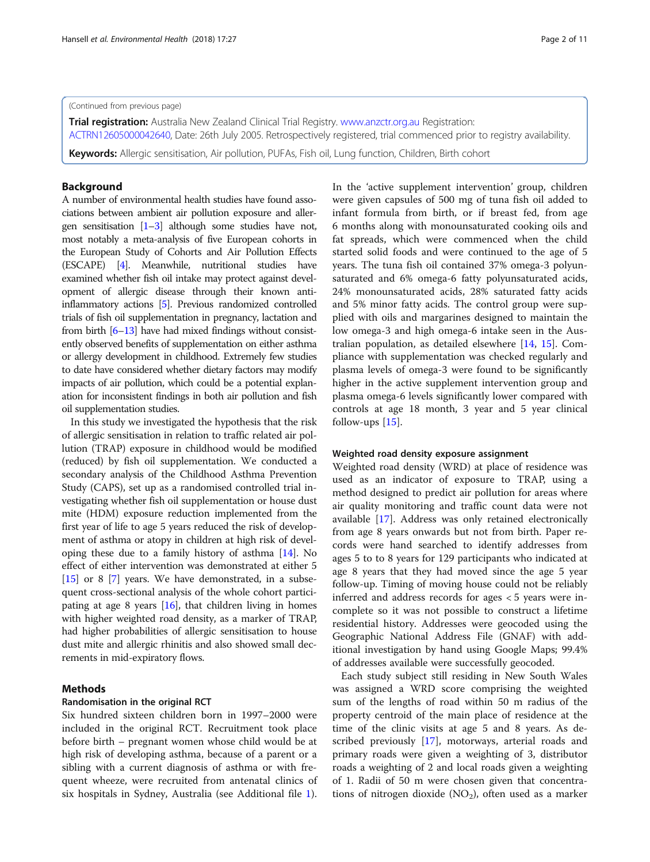#### (Continued from previous page)

Trial registration: Australia New Zealand Clinical Trial Registry. [www.anzctr.org.au](http://www.anzctr.org.au/) Registration: [ACTRN12605000042640](http://www.anzctr.org.au/TrialSearch.aspx?searchTxt=ACTRN12605000042640), Date: 26th July 2005. Retrospectively registered, trial commenced prior to registry availability. Keywords: Allergic sensitisation, Air pollution, PUFAs, Fish oil, Lung function, Children, Birth cohort

## Background

A number of environmental health studies have found associations between ambient air pollution exposure and allergen sensitisation  $[1-3]$  $[1-3]$  $[1-3]$  $[1-3]$  although some studies have not, most notably a meta-analysis of five European cohorts in the European Study of Cohorts and Air Pollution Effects (ESCAPE) [\[4\]](#page-10-0). Meanwhile, nutritional studies have examined whether fish oil intake may protect against development of allergic disease through their known antiinflammatory actions [\[5\]](#page-10-0). Previous randomized controlled trials of fish oil supplementation in pregnancy, lactation and from birth [\[6](#page-10-0)–[13\]](#page-10-0) have had mixed findings without consistently observed benefits of supplementation on either asthma or allergy development in childhood. Extremely few studies to date have considered whether dietary factors may modify impacts of air pollution, which could be a potential explanation for inconsistent findings in both air pollution and fish oil supplementation studies.

In this study we investigated the hypothesis that the risk of allergic sensitisation in relation to traffic related air pollution (TRAP) exposure in childhood would be modified (reduced) by fish oil supplementation. We conducted a secondary analysis of the Childhood Asthma Prevention Study (CAPS), set up as a randomised controlled trial investigating whether fish oil supplementation or house dust mite (HDM) exposure reduction implemented from the first year of life to age 5 years reduced the risk of development of asthma or atopy in children at high risk of developing these due to a family history of asthma [[14](#page-10-0)]. No effect of either intervention was demonstrated at either 5 [[15](#page-10-0)] or 8 [\[7](#page-10-0)] years. We have demonstrated, in a subsequent cross-sectional analysis of the whole cohort participating at age 8 years [[16](#page-10-0)], that children living in homes with higher weighted road density, as a marker of TRAP, had higher probabilities of allergic sensitisation to house dust mite and allergic rhinitis and also showed small decrements in mid-expiratory flows.

## Methods

## Randomisation in the original RCT

Six hundred sixteen children born in 1997–2000 were included in the original RCT. Recruitment took place before birth – pregnant women whose child would be at high risk of developing asthma, because of a parent or a sibling with a current diagnosis of asthma or with frequent wheeze, were recruited from antenatal clinics of six hospitals in Sydney, Australia (see Additional file [1](#page-9-0)). In the 'active supplement intervention' group, children were given capsules of 500 mg of tuna fish oil added to infant formula from birth, or if breast fed, from age 6 months along with monounsaturated cooking oils and fat spreads, which were commenced when the child started solid foods and were continued to the age of 5 years. The tuna fish oil contained 37% omega-3 polyunsaturated and 6% omega-6 fatty polyunsaturated acids, 24% monounsaturated acids, 28% saturated fatty acids and 5% minor fatty acids. The control group were supplied with oils and margarines designed to maintain the low omega-3 and high omega-6 intake seen in the Australian population, as detailed elsewhere [[14,](#page-10-0) [15\]](#page-10-0). Compliance with supplementation was checked regularly and plasma levels of omega-3 were found to be significantly higher in the active supplement intervention group and plasma omega-6 levels significantly lower compared with controls at age 18 month, 3 year and 5 year clinical follow-ups [[15\]](#page-10-0).

### Weighted road density exposure assignment

Weighted road density (WRD) at place of residence was used as an indicator of exposure to TRAP, using a method designed to predict air pollution for areas where air quality monitoring and traffic count data were not available [\[17](#page-10-0)]. Address was only retained electronically from age 8 years onwards but not from birth. Paper records were hand searched to identify addresses from ages 5 to to 8 years for 129 participants who indicated at age 8 years that they had moved since the age 5 year follow-up. Timing of moving house could not be reliably inferred and address records for ages < 5 years were incomplete so it was not possible to construct a lifetime residential history. Addresses were geocoded using the Geographic National Address File (GNAF) with additional investigation by hand using Google Maps; 99.4% of addresses available were successfully geocoded.

Each study subject still residing in New South Wales was assigned a WRD score comprising the weighted sum of the lengths of road within 50 m radius of the property centroid of the main place of residence at the time of the clinic visits at age 5 and 8 years. As described previously [\[17](#page-10-0)], motorways, arterial roads and primary roads were given a weighting of 3, distributor roads a weighting of 2 and local roads given a weighting of 1. Radii of 50 m were chosen given that concentrations of nitrogen dioxide  $(NO<sub>2</sub>)$ , often used as a marker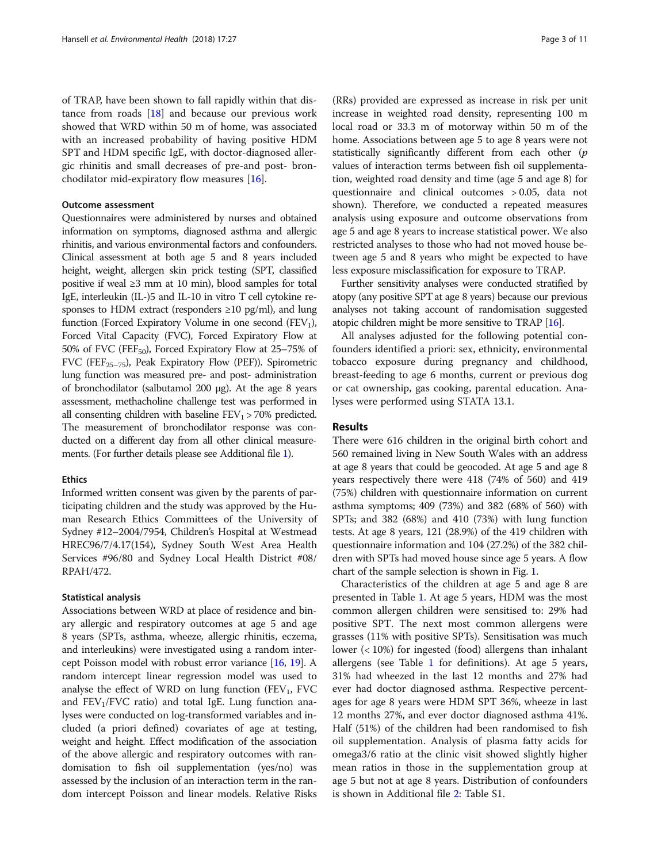of TRAP, have been shown to fall rapidly within that distance from roads  $[18]$  $[18]$  and because our previous work showed that WRD within 50 m of home, was associated with an increased probability of having positive HDM SPT and HDM specific IgE, with doctor-diagnosed allergic rhinitis and small decreases of pre-and post- bronchodilator mid-expiratory flow measures [\[16](#page-10-0)].

## Outcome assessment

Questionnaires were administered by nurses and obtained information on symptoms, diagnosed asthma and allergic rhinitis, and various environmental factors and confounders. Clinical assessment at both age 5 and 8 years included height, weight, allergen skin prick testing (SPT, classified positive if weal ≥3 mm at 10 min), blood samples for total IgE, interleukin (IL-)5 and IL-10 in vitro T cell cytokine responses to HDM extract (responders  $\geq 10$  pg/ml), and lung function (Forced Expiratory Volume in one second  $(FEV_1)$ , Forced Vital Capacity (FVC), Forced Expiratory Flow at 50% of FVC (FEF<sub>50</sub>), Forced Expiratory Flow at  $25-75%$  of FVC (FEF<sub>25-75</sub>), Peak Expiratory Flow (PEF)). Spirometric lung function was measured pre- and post- administration of bronchodilator (salbutamol 200 μg). At the age 8 years assessment, methacholine challenge test was performed in all consenting children with baseline  $FEV<sub>1</sub> > 70%$  predicted. The measurement of bronchodilator response was conducted on a different day from all other clinical measurements. (For further details please see Additional file [1\)](#page-9-0).

## **Ethics**

Informed written consent was given by the parents of participating children and the study was approved by the Human Research Ethics Committees of the University of Sydney #12–2004/7954, Children's Hospital at Westmead HREC96/7/4.17(154), Sydney South West Area Health Services #96/80 and Sydney Local Health District #08/ RPAH/472.

## Statistical analysis

Associations between WRD at place of residence and binary allergic and respiratory outcomes at age 5 and age 8 years (SPTs, asthma, wheeze, allergic rhinitis, eczema, and interleukins) were investigated using a random intercept Poisson model with robust error variance [[16](#page-10-0), [19](#page-10-0)]. A random intercept linear regression model was used to analyse the effect of WRD on lung function (FEV<sub>1</sub>, FVC and  $FEV_1/FVC$  ratio) and total IgE. Lung function analyses were conducted on log-transformed variables and included (a priori defined) covariates of age at testing, weight and height. Effect modification of the association of the above allergic and respiratory outcomes with randomisation to fish oil supplementation (yes/no) was assessed by the inclusion of an interaction term in the random intercept Poisson and linear models. Relative Risks

(RRs) provided are expressed as increase in risk per unit increase in weighted road density, representing 100 m local road or 33.3 m of motorway within 50 m of the home. Associations between age 5 to age 8 years were not statistically significantly different from each other (p values of interaction terms between fish oil supplementation, weighted road density and time (age 5 and age 8) for questionnaire and clinical outcomes > 0.05, data not shown). Therefore, we conducted a repeated measures analysis using exposure and outcome observations from age 5 and age 8 years to increase statistical power. We also restricted analyses to those who had not moved house between age 5 and 8 years who might be expected to have less exposure misclassification for exposure to TRAP.

Further sensitivity analyses were conducted stratified by atopy (any positive SPT at age 8 years) because our previous analyses not taking account of randomisation suggested atopic children might be more sensitive to TRAP [[16\]](#page-10-0).

All analyses adjusted for the following potential confounders identified a priori: sex, ethnicity, environmental tobacco exposure during pregnancy and childhood, breast-feeding to age 6 months, current or previous dog or cat ownership, gas cooking, parental education. Analyses were performed using STATA 13.1.

## Results

There were 616 children in the original birth cohort and 560 remained living in New South Wales with an address at age 8 years that could be geocoded. At age 5 and age 8 years respectively there were 418 (74% of 560) and 419 (75%) children with questionnaire information on current asthma symptoms; 409 (73%) and 382 (68% of 560) with SPTs; and 382 (68%) and 410 (73%) with lung function tests. At age 8 years, 121 (28.9%) of the 419 children with questionnaire information and 104 (27.2%) of the 382 children with SPTs had moved house since age 5 years. A flow chart of the sample selection is shown in Fig. [1.](#page-3-0)

Characteristics of the children at age 5 and age 8 are presented in Table [1](#page-4-0). At age 5 years, HDM was the most common allergen children were sensitised to: 29% had positive SPT. The next most common allergens were grasses (11% with positive SPTs). Sensitisation was much lower (< 10%) for ingested (food) allergens than inhalant allergens (see Table [1](#page-4-0) for definitions). At age 5 years, 31% had wheezed in the last 12 months and 27% had ever had doctor diagnosed asthma. Respective percentages for age 8 years were HDM SPT 36%, wheeze in last 12 months 27%, and ever doctor diagnosed asthma 41%. Half (51%) of the children had been randomised to fish oil supplementation. Analysis of plasma fatty acids for omega3/6 ratio at the clinic visit showed slightly higher mean ratios in those in the supplementation group at age 5 but not at age 8 years. Distribution of confounders is shown in Additional file [2:](#page-9-0) Table S1.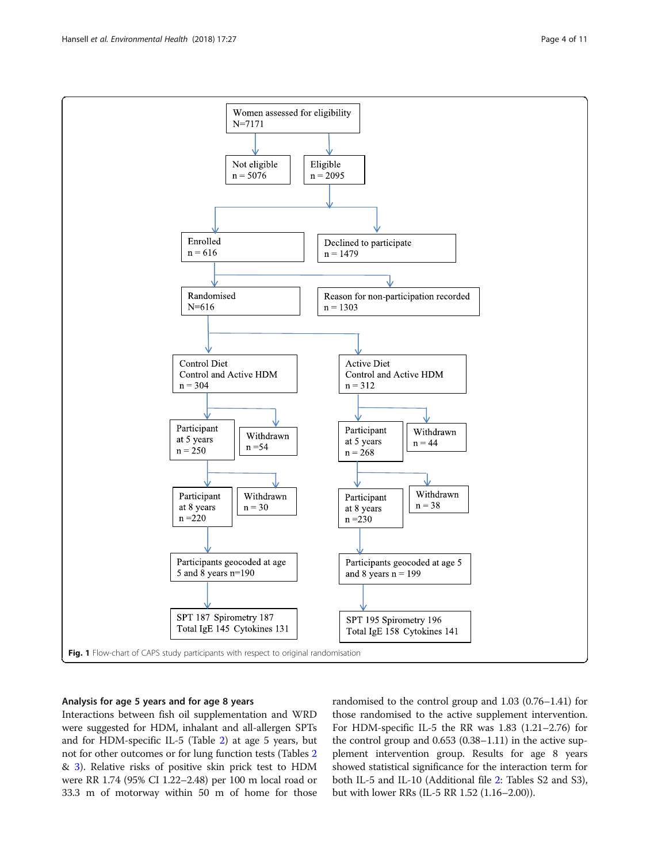<span id="page-3-0"></span>

## Analysis for age 5 years and for age 8 years

Interactions between fish oil supplementation and WRD were suggested for HDM, inhalant and all-allergen SPTs and for HDM-specific IL-5 (Table [2](#page-5-0)) at age 5 years, but not for other outcomes or for lung function tests (Tables [2](#page-5-0) & [3](#page-6-0)). Relative risks of positive skin prick test to HDM were RR 1.74 (95% CI 1.22–2.48) per 100 m local road or 33.3 m of motorway within 50 m of home for those randomised to the control group and 1.03 (0.76–1.41) for those randomised to the active supplement intervention. For HDM-specific IL-5 the RR was 1.83 (1.21–2.76) for the control group and 0.653 (0.38–1.11) in the active supplement intervention group. Results for age 8 years showed statistical significance for the interaction term for both IL-5 and IL-10 (Additional file [2](#page-9-0): Tables S2 and S3), but with lower RRs (IL-5 RR 1.52 (1.16–2.00)).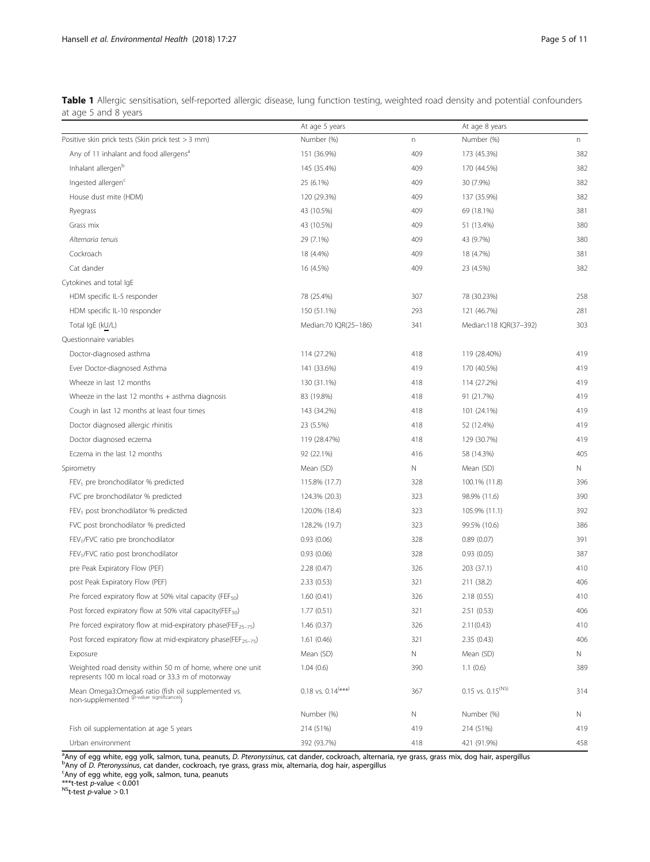<span id="page-4-0"></span>

| Table 1 Allergic sensitisation, self-reported allergic disease, lung function testing, weighted road density and potential confounders |  |  |  |  |  |  |
|----------------------------------------------------------------------------------------------------------------------------------------|--|--|--|--|--|--|
| at age 5 and 8 years                                                                                                                   |  |  |  |  |  |  |

|                                                                                                                | At age 5 years                     |                           | At age 8 years           |     |
|----------------------------------------------------------------------------------------------------------------|------------------------------------|---------------------------|--------------------------|-----|
| Positive skin prick tests (Skin prick test > 3 mm)                                                             | Number (%)                         | $\boldsymbol{\mathsf{n}}$ | Number (%)               | n   |
| Any of 11 inhalant and food allergens <sup>a</sup>                                                             | 151 (36.9%)                        | 409                       | 173 (45.3%)              | 382 |
| Inhalant allergen <sup>b</sup>                                                                                 | 145 (35.4%)                        | 409                       | 170 (44.5%)              | 382 |
| Ingested allergen <sup>c</sup>                                                                                 | 25 (6.1%)                          | 409                       | 30 (7.9%)                | 382 |
| House dust mite (HDM)                                                                                          | 120 (29.3%)                        | 409                       | 137 (35.9%)              | 382 |
| Ryegrass                                                                                                       | 43 (10.5%)                         | 409                       | 69 (18.1%)               | 381 |
| Grass mix                                                                                                      | 43 (10.5%)                         | 409                       | 51 (13.4%)               | 380 |
| Alternaria tenuis                                                                                              | 29 (7.1%)                          | 409                       | 43 (9.7%)                | 380 |
| Cockroach                                                                                                      | 18 (4.4%)                          | 409                       | 18 (4.7%)                | 381 |
| Cat dander                                                                                                     | 16 (4.5%)                          | 409                       | 23 (4.5%)                | 382 |
| Cytokines and total IgE                                                                                        |                                    |                           |                          |     |
| HDM specific IL-5 responder                                                                                    | 78 (25.4%)                         | 307                       | 78 (30.23%)              | 258 |
| HDM specific IL-10 responder                                                                                   | 150 (51.1%)                        | 293                       | 121 (46.7%)              | 281 |
| Total IgE (kU/L)                                                                                               | Median:70 IQR(25-186)              | 341                       | Median:118 IQR(37-392)   | 303 |
| Questionnaire variables                                                                                        |                                    |                           |                          |     |
| Doctor-diagnosed asthma                                                                                        | 114 (27.2%)                        | 418                       | 119 (28.40%)             | 419 |
| Ever Doctor-diagnosed Asthma                                                                                   | 141 (33.6%)                        | 419                       | 170 (40.5%)              | 419 |
| Wheeze in last 12 months                                                                                       | 130 (31.1%)                        | 418                       | 114 (27.2%)              | 419 |
| Wheeze in the last 12 months + asthma diagnosis                                                                | 83 (19.8%)                         | 418                       | 91 (21.7%)               | 419 |
| Cough in last 12 months at least four times                                                                    | 143 (34.2%)                        | 418                       | 101 (24.1%)              | 419 |
| Doctor diagnosed allergic rhinitis                                                                             | 23 (5.5%)                          | 418                       | 52 (12.4%)               | 419 |
| Doctor diagnosed eczema                                                                                        | 119 (28.47%)                       | 418                       | 129 (30.7%)              | 419 |
| Eczema in the last 12 months                                                                                   | 92 (22.1%)                         | 416                       | 58 (14.3%)               | 405 |
| Spirometry                                                                                                     | Mean (SD)                          | Ν                         | Mean (SD)                | N   |
| FEV <sub>1</sub> pre bronchodilator % predicted                                                                | 115.8% (17.7)                      | 328                       | 100.1% (11.8)            | 396 |
| FVC pre bronchodilator % predicted                                                                             | 124.3% (20.3)                      | 323                       | 98.9% (11.6)             | 390 |
| FEV <sub>1</sub> post bronchodilator % predicted                                                               | 120.0% (18.4)                      | 323                       | 105.9% (11.1)            | 392 |
| FVC post bronchodilator % predicted                                                                            | 128.2% (19.7)                      | 323                       | 99.5% (10.6)             | 386 |
| FEV <sub>1</sub> /FVC ratio pre bronchodilator                                                                 | 0.93(0.06)                         | 328                       | 0.89(0.07)               | 391 |
| FEV <sub>1</sub> /FVC ratio post bronchodilator                                                                | 0.93(0.06)                         | 328                       | 0.93(0.05)               | 387 |
| pre Peak Expiratory Flow (PEF)                                                                                 | 2.28 (0.47)                        | 326                       | 203 (37.1)               | 410 |
| post Peak Expiratory Flow (PEF)                                                                                | 2.33(0.53)                         | 321                       | 211 (38.2)               | 406 |
| Pre forced expiratory flow at 50% vital capacity (FEF <sub>50</sub> )                                          | 1.60(0.41)                         | 326                       | 2.18(0.55)               | 410 |
| Post forced expiratory flow at 50% vital capacity(FEF <sub>50</sub> )                                          | 1.77(0.51)                         | 321                       | 2.51 (0.53)              | 406 |
| Pre forced expiratory flow at mid-expiratory phase(FEF <sub>25-75</sub> )                                      | 1.46(0.37)                         | 326                       | 2.11(0.43)               | 410 |
| Post forced expiratory flow at mid-expiratory phase(FEF <sub>25-75</sub> )                                     | 1.61(0.46)                         | 321                       | 2.35(0.43)               | 406 |
| Exposure                                                                                                       | Mean (SD)                          | Ν                         | Mean (SD)                | N   |
| Weighted road density within 50 m of home, where one unit<br>represents 100 m local road or 33.3 m of motorway | 1.04(0.6)                          | 390                       | 1.1(0.6)                 | 389 |
| Mean Omega3: Omega6 ratio (fish oil supplemented vs.<br>non-supplemented $\varphi$ -value significance)        | $0.18$ vs. $0.14$ <sup>(***)</sup> | 367                       | $0.15$ vs. $0.15^{(NS)}$ | 314 |
|                                                                                                                | Number (%)                         | N                         | Number (%)               | N   |
| Fish oil supplementation at age 5 years                                                                        | 214 (51%)                          | 419                       | 214 (51%)                | 419 |
| Urban environment                                                                                              | 392 (93.7%)                        | 418                       | 421 (91.9%)              | 458 |

<sup>a</sup>Any of egg white, egg yolk, salmon, tuna, peanuts, D. Pteronyssinus, cat dander, cockroach, alternaria, rye grass, grass mix, dog hair, aspergillus<br>PAny of D. Pteronyssinus, cat dander, cockroach, nye grass, grass mix, <sup>b</sup>Any of *D. Pteronyssinus,* cat dander, cockroach, rye grass, grass mix, alternaria, dog hair, aspergillus<br><sup>c</sup>Any of egg white, egg yolk, salmon, tuna, peanuts

\*\*\*t-test *p*-value < 0.001<br><sup>NS</sup>t-test *p*-value > 0.1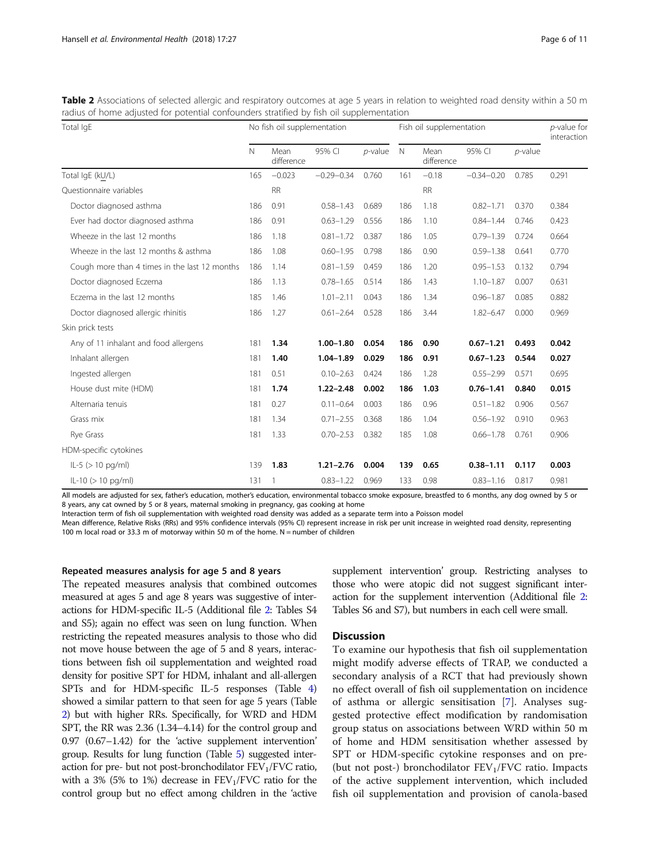| Total IgE                                     | No fish oil supplementation |                    |                |            |             | Fish oil supplementation |                |            |       |  |
|-----------------------------------------------|-----------------------------|--------------------|----------------|------------|-------------|--------------------------|----------------|------------|-------|--|
|                                               | N                           | Mean<br>difference | 95% CI         | $p$ -value | $\mathbb N$ | Mean<br>difference       | 95% CI         | $p$ -value |       |  |
| Total IgE (kU/L)                              | 165                         | $-0.023$           | $-0.29 - 0.34$ | 0.760      | 161         | $-0.18$                  | $-0.34 - 0.20$ | 0.785      | 0.291 |  |
| Questionnaire variables                       |                             | <b>RR</b>          |                |            |             | <b>RR</b>                |                |            |       |  |
| Doctor diagnosed asthma                       | 186                         | 0.91               | $0.58 - 1.43$  | 0.689      | 186         | 1.18                     | $0.82 - 1.71$  | 0.370      | 0.384 |  |
| Ever had doctor diagnosed asthma              | 186                         | 0.91               | $0.63 - 1.29$  | 0.556      | 186         | 1.10                     | $0.84 - 1.44$  | 0.746      | 0.423 |  |
| Wheeze in the last 12 months                  | 186                         | 1.18               | $0.81 - 1.72$  | 0.387      | 186         | 1.05                     | $0.79 - 1.39$  | 0.724      | 0.664 |  |
| Wheeze in the last 12 months & asthma         | 186                         | 1.08               | $0.60 - 1.95$  | 0.798      | 186         | 0.90                     | $0.59 - 1.38$  | 0.641      | 0.770 |  |
| Cough more than 4 times in the last 12 months | 186                         | 1.14               | $0.81 - 1.59$  | 0.459      | 186         | 1.20                     | $0.95 - 1.53$  | 0.132      | 0.794 |  |
| Doctor diagnosed Eczema                       | 186                         | 1.13               | $0.78 - 1.65$  | 0.514      | 186         | 1.43                     | $1.10 - 1.87$  | 0.007      | 0.631 |  |
| Eczema in the last 12 months                  | 185                         | 1.46               | $1.01 - 2.11$  | 0.043      | 186         | 1.34                     | $0.96 - 1.87$  | 0.085      | 0.882 |  |
| Doctor diagnosed allergic rhinitis            | 186                         | 1.27               | $0.61 - 2.64$  | 0.528      | 186         | 3.44                     | $1.82 - 6.47$  | 0.000      | 0.969 |  |
| Skin prick tests                              |                             |                    |                |            |             |                          |                |            |       |  |
| Any of 11 inhalant and food allergens         | 181                         | 1.34               | $1.00 - 1.80$  | 0.054      | 186         | 0.90                     | $0.67 - 1.21$  | 0.493      | 0.042 |  |
| Inhalant allergen                             | 181                         | 1.40               | $1.04 - 1.89$  | 0.029      | 186         | 0.91                     | $0.67 - 1.23$  | 0.544      | 0.027 |  |
| Ingested allergen                             | 181                         | 0.51               | $0.10 - 2.63$  | 0.424      | 186         | 1.28                     | $0.55 - 2.99$  | 0.571      | 0.695 |  |
| House dust mite (HDM)                         | 181                         | 1.74               | $1.22 - 2.48$  | 0.002      | 186         | 1.03                     | $0.76 - 1.41$  | 0.840      | 0.015 |  |
| Alternaria tenuis                             | 181                         | 0.27               | $0.11 - 0.64$  | 0.003      | 186         | 0.96                     | $0.51 - 1.82$  | 0.906      | 0.567 |  |
| Grass mix                                     | 181                         | 1.34               | $0.71 - 2.55$  | 0.368      | 186         | 1.04                     | $0.56 - 1.92$  | 0.910      | 0.963 |  |
| Rye Grass                                     | 181                         | 1.33               | $0.70 - 2.53$  | 0.382      | 185         | 1.08                     | $0.66 - 1.78$  | 0.761      | 0.906 |  |
| HDM-specific cytokines                        |                             |                    |                |            |             |                          |                |            |       |  |
| $ L-5  > 10$ pg/ml)                           | 139                         | 1.83               | $1.21 - 2.76$  | 0.004      | 139         | 0.65                     | $0.38 - 1.11$  | 0.117      | 0.003 |  |
| $ L-10 \rangle$ (> 10 pg/ml)                  | 131                         | 1                  | $0.83 - 1.22$  | 0.969      | 133         | 0.98                     | $0.83 - 1.16$  | 0.817      | 0.981 |  |

<span id="page-5-0"></span>Table 2 Associations of selected allergic and respiratory outcomes at age 5 years in relation to weighted road density within a 50 m radius of home adjusted for potential confounders stratified by fish oil supplementation

All models are adjusted for sex, father's education, mother's education, environmental tobacco smoke exposure, breastfed to 6 months, any dog owned by 5 or 8 years, any cat owned by 5 or 8 years, maternal smoking in pregnancy, gas cooking at home

Interaction term of fish oil supplementation with weighted road density was added as a separate term into a Poisson model

Mean difference, Relative Risks (RRs) and 95% confidence intervals (95% CI) represent increase in risk per unit increase in weighted road density, representing 100 m local road or 33.3 m of motorway within 50 m of the home. N = number of children

#### Repeated measures analysis for age 5 and 8 years

The repeated measures analysis that combined outcomes measured at ages 5 and age 8 years was suggestive of interactions for HDM-specific IL-5 (Additional file [2](#page-9-0): Tables S4 and S5); again no effect was seen on lung function. When restricting the repeated measures analysis to those who did not move house between the age of 5 and 8 years, interactions between fish oil supplementation and weighted road density for positive SPT for HDM, inhalant and all-allergen SPTs and for HDM-specific IL-5 responses (Table [4](#page-7-0)) showed a similar pattern to that seen for age 5 years (Table 2) but with higher RRs. Specifically, for WRD and HDM SPT, the RR was 2.36 (1.34–4.14) for the control group and 0.97 (0.67–1.42) for the 'active supplement intervention' group. Results for lung function (Table [5](#page-8-0)) suggested interaction for pre- but not post-bronchodilator  $FEV<sub>1</sub>/FVC$  ratio, with a 3% (5% to 1%) decrease in  $FEV<sub>1</sub>/FVC$  ratio for the control group but no effect among children in the 'active supplement intervention' group. Restricting analyses to those who were atopic did not suggest significant interaction for the supplement intervention (Additional file [2](#page-9-0): Tables S6 and S7), but numbers in each cell were small.

## **Discussion**

To examine our hypothesis that fish oil supplementation might modify adverse effects of TRAP, we conducted a secondary analysis of a RCT that had previously shown no effect overall of fish oil supplementation on incidence of asthma or allergic sensitisation [\[7](#page-10-0)]. Analyses suggested protective effect modification by randomisation group status on associations between WRD within 50 m of home and HDM sensitisation whether assessed by SPT or HDM-specific cytokine responses and on pre- (but not post-) bronchodilator  $FEV<sub>1</sub>/FVC$  ratio. Impacts of the active supplement intervention, which included fish oil supplementation and provision of canola-based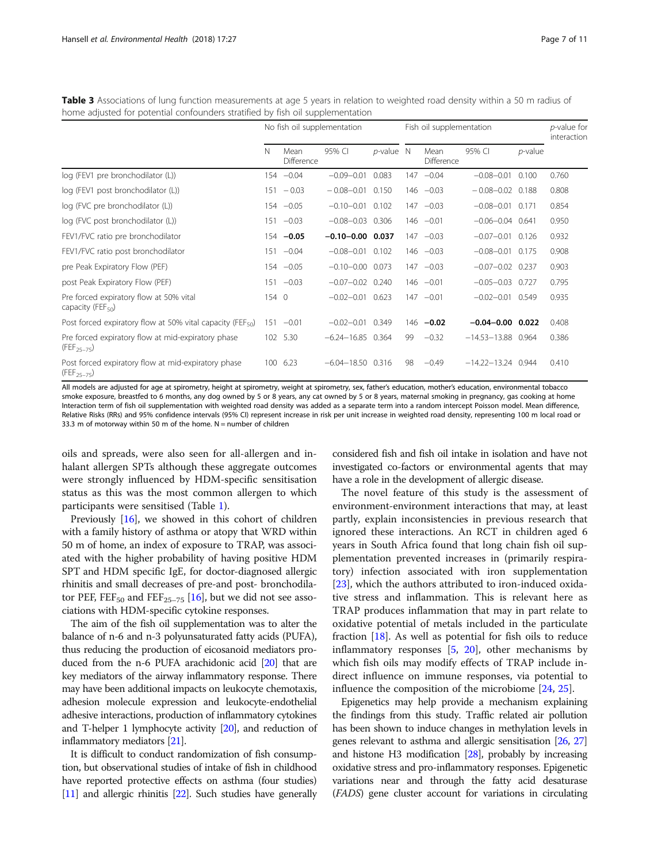<span id="page-6-0"></span>Table 3 Associations of lung function measurements at age 5 years in relation to weighted road density within a 50 m radius of home adjusted for potential confounders stratified by fish oil supplementation

|                                                                        | No fish oil supplementation |                    |                       |              | Fish oil supplementation | <i>p</i> -value for<br>interaction |                        |            |       |
|------------------------------------------------------------------------|-----------------------------|--------------------|-----------------------|--------------|--------------------------|------------------------------------|------------------------|------------|-------|
|                                                                        | N                           | Mean<br>Difference | 95% CI                | $p$ -value N |                          | Mean<br>Difference                 | 95% CI                 | $p$ -value |       |
| log (FEV1 pre bronchodilator (L))                                      |                             | $154 -0.04$        | $-0.09 - 0.01$        | 0.083        |                          | $147 - 0.04$                       | $-0.08 - 0.01$         | 0.100      | 0.760 |
| log (FEV1 post bronchodilator (L))                                     | 151                         | $-0.03$            | $-0.08 - 0.01$        | 0.150        |                          | $146 - 0.03$                       | $-0.08 - 0.02$ 0.188   |            | 0.808 |
| log (FVC pre bronchodilator (L))                                       |                             | $154 - 0.05$       | $-0.10 - 0.01$        | 0.102        |                          | $147 -0.03$                        | $-0.08 - 0.01$ 0.171   |            | 0.854 |
| log (FVC post bronchodilator (L))                                      |                             | $151 - 0.03$       | $-0.08 - 0.03$ 0.306  |              |                          | $146 - 0.01$                       | $-0.06 - 0.04$ 0.641   |            | 0.950 |
| FEV1/FVC ratio pre bronchodilator                                      |                             | $154 -0.05$        | $-0.10 - 0.00$ 0.037  |              |                          | $147 - 0.03$                       | $-0.07 - 0.01$ 0.126   |            | 0.932 |
| FEV1/FVC ratio post bronchodilator                                     |                             | $151 -0.04$        | $-0.08 - 0.01$ 0.102  |              |                          | $146 - 0.03$                       | $-0.08 - 0.01$ 0.175   |            | 0.908 |
| pre Peak Expiratory Flow (PEF)                                         |                             | $154 -0.05$        | $-0.10 - 0.00$ 0.073  |              |                          | $147 - 0.03$                       | $-0.07 - 0.02$ 0.237   |            | 0.903 |
| post Peak Expiratory Flow (PEF)                                        |                             | $151 - 0.03$       | $-0.07 - 0.02$        | 0.240        |                          | $146 - 0.01$                       | $-0.05 - 0.03$ 0.727   |            | 0.795 |
| Pre forced expiratory flow at 50% vital<br>capacity (FEF $_{50}$ )     | 154 0                       |                    | $-0.02 - 0.01$ 0.623  |              |                          | $147 - 0.01$                       | $-0.02 - 0.01$ 0.549   |            | 0.935 |
| Post forced expiratory flow at 50% vital capacity (FEF $_{50}$ )       | 151                         | $-0.01$            | $-0.02 - 0.01$ 0.349  |              |                          | $146 -0.02$                        | $-0.04 - 0.00$ 0.022   |            | 0.408 |
| Pre forced expiratory flow at mid-expiratory phase<br>$(FEF_{25-75})$  |                             | 102 5.30           | $-6.24 - 16.85$ 0.364 |              | 99                       | $-0.32$                            | $-14.53 - 13.88$ 0.964 |            | 0.386 |
| Post forced expiratory flow at mid-expiratory phase<br>$(FEF_{25-75})$ |                             | 100 6.23           | $-6.04 - 18.50$ 0.316 |              | 98                       | $-0.49$                            | $-14.22 - 13.24$ 0.944 |            | 0.410 |

All models are adjusted for age at spirometry, height at spirometry, weight at spirometry, sex, father's education, mother's education, environmental tobacco smoke exposure, breastfed to 6 months, any dog owned by 5 or 8 years, any cat owned by 5 or 8 years, maternal smoking in pregnancy, gas cooking at home Interaction term of fish oil supplementation with weighted road density was added as a separate term into a random intercept Poisson model. Mean difference, Relative Risks (RRs) and 95% confidence intervals (95% CI) represent increase in risk per unit increase in weighted road density, representing 100 m local road or 33.3 m of motorway within 50 m of the home.  $N =$  number of children

oils and spreads, were also seen for all-allergen and inhalant allergen SPTs although these aggregate outcomes were strongly influenced by HDM-specific sensitisation status as this was the most common allergen to which participants were sensitised (Table [1](#page-4-0)).

Previously [\[16](#page-10-0)], we showed in this cohort of children with a family history of asthma or atopy that WRD within 50 m of home, an index of exposure to TRAP, was associated with the higher probability of having positive HDM SPT and HDM specific IgE, for doctor-diagnosed allergic rhinitis and small decreases of pre-and post- bronchodila-tor PEF, FEF<sub>50</sub> and FEF<sub>25-75</sub> [[16](#page-10-0)], but we did not see associations with HDM-specific cytokine responses.

The aim of the fish oil supplementation was to alter the balance of n-6 and n-3 polyunsaturated fatty acids (PUFA), thus reducing the production of eicosanoid mediators produced from the n-6 PUFA arachidonic acid [\[20\]](#page-10-0) that are key mediators of the airway inflammatory response. There may have been additional impacts on leukocyte chemotaxis, adhesion molecule expression and leukocyte-endothelial adhesive interactions, production of inflammatory cytokines and T-helper 1 lymphocyte activity [[20](#page-10-0)], and reduction of inflammatory mediators [\[21\]](#page-10-0).

It is difficult to conduct randomization of fish consumption, but observational studies of intake of fish in childhood have reported protective effects on asthma (four studies) [[11](#page-10-0)] and allergic rhinitis [\[22](#page-10-0)]. Such studies have generally

considered fish and fish oil intake in isolation and have not investigated co-factors or environmental agents that may have a role in the development of allergic disease.

The novel feature of this study is the assessment of environment-environment interactions that may, at least partly, explain inconsistencies in previous research that ignored these interactions. An RCT in children aged 6 years in South Africa found that long chain fish oil supplementation prevented increases in (primarily respiratory) infection associated with iron supplementation [[23\]](#page-10-0), which the authors attributed to iron-induced oxidative stress and inflammation. This is relevant here as TRAP produces inflammation that may in part relate to oxidative potential of metals included in the particulate fraction [\[18\]](#page-10-0). As well as potential for fish oils to reduce inflammatory responses  $[5, 20]$  $[5, 20]$  $[5, 20]$  $[5, 20]$ , other mechanisms by which fish oils may modify effects of TRAP include indirect influence on immune responses, via potential to influence the composition of the microbiome [[24](#page-10-0), [25](#page-10-0)].

Epigenetics may help provide a mechanism explaining the findings from this study. Traffic related air pollution has been shown to induce changes in methylation levels in genes relevant to asthma and allergic sensitisation [\[26](#page-10-0), [27](#page-10-0)] and histone H3 modification [[28](#page-10-0)], probably by increasing oxidative stress and pro-inflammatory responses. Epigenetic variations near and through the fatty acid desaturase (FADS) gene cluster account for variations in circulating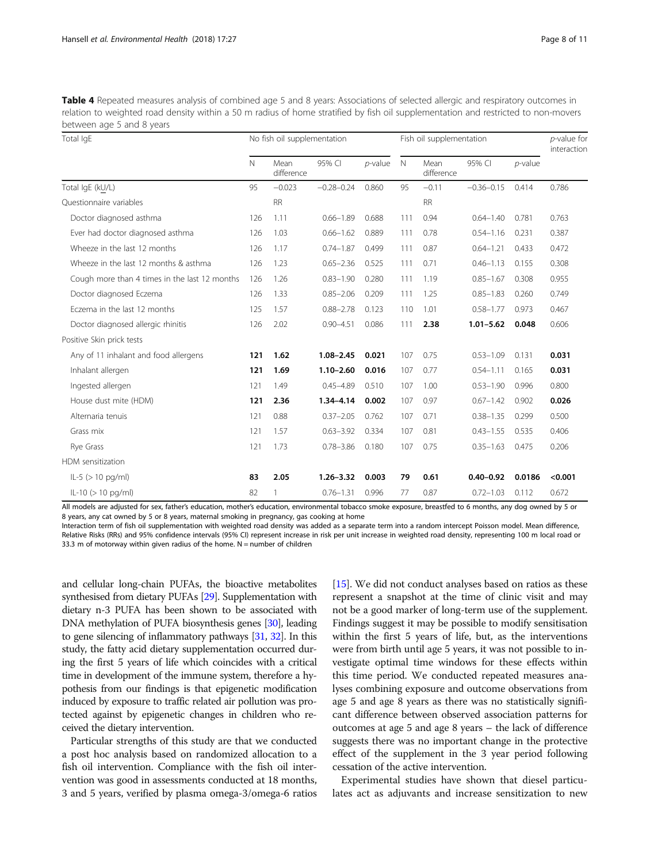<span id="page-7-0"></span>Table 4 Repeated measures analysis of combined age 5 and 8 years: Associations of selected allergic and respiratory outcomes in relation to weighted road density within a 50 m radius of home stratified by fish oil supplementation and restricted to non-movers between age 5 and 8 years

| Total IgE                                     |     | No fish oil supplementation |                |            | Fish oil supplementation | $p$ -value for<br>interaction |                |            |         |
|-----------------------------------------------|-----|-----------------------------|----------------|------------|--------------------------|-------------------------------|----------------|------------|---------|
|                                               | N   | Mean<br>difference          | 95% CI         | $p$ -value | $\mathbb N$              | Mean<br>difference            | 95% CI         | $p$ -value |         |
| Total IgE (kU/L)                              | 95  | $-0.023$                    | $-0.28 - 0.24$ | 0.860      | 95                       | $-0.11$                       | $-0.36 - 0.15$ | 0.414      | 0.786   |
| Ouestionnaire variables                       |     | <b>RR</b>                   |                |            |                          | <b>RR</b>                     |                |            |         |
| Doctor diagnosed asthma                       | 126 | 1.11                        | $0.66 - 1.89$  | 0.688      | 111                      | 0.94                          | $0.64 - 1.40$  | 0.781      | 0.763   |
| Ever had doctor diagnosed asthma              | 126 | 1.03                        | $0.66 - 1.62$  | 0.889      | 111                      | 0.78                          | $0.54 - 1.16$  | 0.231      | 0.387   |
| Wheeze in the last 12 months                  | 126 | 1.17                        | $0.74 - 1.87$  | 0.499      | 111                      | 0.87                          | $0.64 - 1.21$  | 0.433      | 0.472   |
| Wheeze in the last 12 months & asthma         | 126 | 1.23                        | $0.65 - 2.36$  | 0.525      | 111                      | 0.71                          | $0.46 - 1.13$  | 0.155      | 0.308   |
| Cough more than 4 times in the last 12 months | 126 | 1.26                        | $0.83 - 1.90$  | 0.280      | 111                      | 1.19                          | $0.85 - 1.67$  | 0.308      | 0.955   |
| Doctor diagnosed Eczema                       | 126 | 1.33                        | $0.85 - 2.06$  | 0.209      | 111                      | 1.25                          | $0.85 - 1.83$  | 0.260      | 0.749   |
| Eczema in the last 12 months                  | 125 | 1.57                        | $0.88 - 2.78$  | 0.123      | 110                      | 1.01                          | $0.58 - 1.77$  | 0.973      | 0.467   |
| Doctor diagnosed allergic rhinitis            | 126 | 2.02                        | $0.90 - 4.51$  | 0.086      | 111                      | 2.38                          | $1.01 - 5.62$  | 0.048      | 0.606   |
| Positive Skin prick tests                     |     |                             |                |            |                          |                               |                |            |         |
| Any of 11 inhalant and food allergens         | 121 | 1.62                        | $1.08 - 2.45$  | 0.021      | 107                      | 0.75                          | $0.53 - 1.09$  | 0.131      | 0.031   |
| Inhalant allergen                             | 121 | 1.69                        | $1.10 - 2.60$  | 0.016      | 107                      | 0.77                          | $0.54 - 1.11$  | 0.165      | 0.031   |
| Ingested allergen                             | 121 | 1.49                        | $0.45 - 4.89$  | 0.510      | 107                      | 1.00                          | $0.53 - 1.90$  | 0.996      | 0.800   |
| House dust mite (HDM)                         | 121 | 2.36                        | $1.34 - 4.14$  | 0.002      | 107                      | 0.97                          | $0.67 - 1.42$  | 0.902      | 0.026   |
| Alternaria tenuis                             | 121 | 0.88                        | $0.37 - 2.05$  | 0.762      | 107                      | 0.71                          | $0.38 - 1.35$  | 0.299      | 0.500   |
| Grass mix                                     | 121 | 1.57                        | $0.63 - 3.92$  | 0.334      | 107                      | 0.81                          | $0.43 - 1.55$  | 0.535      | 0.406   |
| Rye Grass                                     | 121 | 1.73                        | $0.78 - 3.86$  | 0.180      | 107                      | 0.75                          | $0.35 - 1.63$  | 0.475      | 0.206   |
| HDM sensitization                             |     |                             |                |            |                          |                               |                |            |         |
| $ L-5 (> 10 pg/ml)$                           | 83  | 2.05                        | $1.26 - 3.32$  | 0.003      | 79                       | 0.61                          | $0.40 - 0.92$  | 0.0186     | < 0.001 |
| $ L-10 (> 10$ pg/ml)                          | 82  | 1                           | $0.76 - 1.31$  | 0.996      | 77                       | 0.87                          | $0.72 - 1.03$  | 0.112      | 0.672   |

All models are adjusted for sex, father's education, mother's education, environmental tobacco smoke exposure, breastfed to 6 months, any dog owned by 5 or 8 years, any cat owned by 5 or 8 years, maternal smoking in pregnancy, gas cooking at home

Interaction term of fish oil supplementation with weighted road density was added as a separate term into a random intercept Poisson model. Mean difference, Relative Risks (RRs) and 95% confidence intervals (95% CI) represent increase in risk per unit increase in weighted road density, representing 100 m local road or 33.3 m of motorway within given radius of the home.  $N =$  number of children

and cellular long-chain PUFAs, the bioactive metabolites synthesised from dietary PUFAs [\[29](#page-10-0)]. Supplementation with dietary n-3 PUFA has been shown to be associated with DNA methylation of PUFA biosynthesis genes [\[30\]](#page-10-0), leading to gene silencing of inflammatory pathways [\[31,](#page-10-0) [32](#page-10-0)]. In this study, the fatty acid dietary supplementation occurred during the first 5 years of life which coincides with a critical time in development of the immune system, therefore a hypothesis from our findings is that epigenetic modification induced by exposure to traffic related air pollution was protected against by epigenetic changes in children who received the dietary intervention.

Particular strengths of this study are that we conducted a post hoc analysis based on randomized allocation to a fish oil intervention. Compliance with the fish oil intervention was good in assessments conducted at 18 months, 3 and 5 years, verified by plasma omega-3/omega-6 ratios

[[15](#page-10-0)]. We did not conduct analyses based on ratios as these represent a snapshot at the time of clinic visit and may not be a good marker of long-term use of the supplement. Findings suggest it may be possible to modify sensitisation within the first 5 years of life, but, as the interventions were from birth until age 5 years, it was not possible to investigate optimal time windows for these effects within this time period. We conducted repeated measures analyses combining exposure and outcome observations from age 5 and age 8 years as there was no statistically significant difference between observed association patterns for outcomes at age 5 and age 8 years – the lack of difference suggests there was no important change in the protective effect of the supplement in the 3 year period following cessation of the active intervention.

Experimental studies have shown that diesel particulates act as adjuvants and increase sensitization to new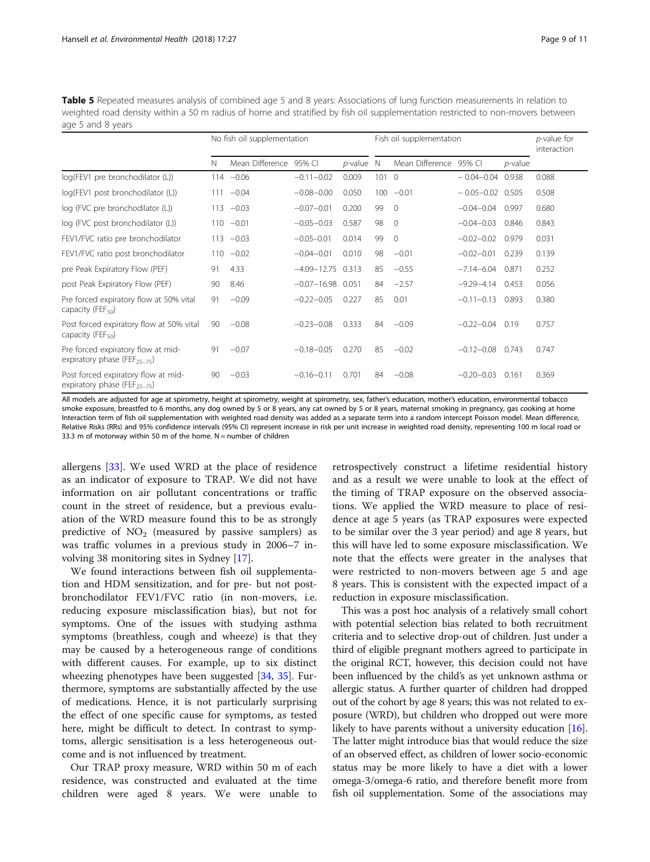<span id="page-8-0"></span>Table 5 Repeated measures analysis of combined age 5 and 8 years: Associations of lung function measurements in relation to weighted road density within a 50 m radius of home and stratified by fish oil supplementation restricted to non-movers between age 5 and 8 years

|                                                                                 |     | No fish oil supplementation |                       |              | Fish oil supplementation | p-value for<br>interaction |                      |            |       |
|---------------------------------------------------------------------------------|-----|-----------------------------|-----------------------|--------------|--------------------------|----------------------------|----------------------|------------|-------|
|                                                                                 | N   | Mean Difference             | 95% CI                | $p$ -value N |                          | Mean Difference            | 95% CI               | $p$ -value |       |
| log(FEV1 pre bronchodilator (L))                                                |     | $114 - 0.06$                | $-0.11 - 0.02$        | 0.009        | 1010                     |                            | $-0.04 - 0.04$ 0.938 |            | 0.088 |
| log(FEV1 post bronchodilator (L))                                               | 111 | $-0.04$                     | $-0.08 - 0.00$        | 0.050        |                          | $100 -0.01$                | $-0.05 - 0.02$ 0.505 |            | 0.508 |
| log (FVC pre bronchodilator (L))                                                | 113 | $-0.03$                     | $-0.07 - 0.01$        | 0.200        | 99                       | $\circ$                    | $-0.04 - 0.04$       | 0.997      | 0.680 |
| log (FVC post bronchodilator (L))                                               | 110 | $-0.01$                     | $-0.05 - 0.03$        | 0.587        | 98                       | $\Omega$                   | $-0.04 - 0.03$       | 0.846      | 0.843 |
| FEV1/FVC ratio pre bronchodilator                                               | 113 | $-0.03$                     | $-0.05 - 0.01$        | 0.014        | 99                       | $\Omega$                   | $-0.02 - 0.02$       | 0.979      | 0.031 |
| FEV1/FVC ratio post bronchodilator                                              | 110 | $-0.02$                     | $-0.04 - 0.01$        | 0.010        | 98                       | $-0.01$                    | $-0.02 - 0.01$       | 0.239      | 0.139 |
| pre Peak Expiratory Flow (PEF)                                                  | 91  | 4.33                        | $-4.09 - 12.75$       | 0.313        | 85                       | $-0.55$                    | $-7.14 - 6.04$       | 0.871      | 0.252 |
| post Peak Expiratory Flow (PEF)                                                 | 90  | 8.46                        | $-0.07 - 16.98$ 0.051 |              | 84                       | $-2.57$                    | $-9.29 - 4.14$       | 0.453      | 0.056 |
| Pre forced expiratory flow at 50% vital<br>capacity (FEF $_{50}$ )              | 91  | $-0.09$                     | $-0.22 - 0.05$        | 0.227        | 85                       | 0.01                       | $-0.11 - 0.13$       | 0.893      | 0.380 |
| Post forced expiratory flow at 50% vital<br>capacity (FEF $_{50}$ )             | 90  | $-0.08$                     | $-0.23 - 0.08$        | 0.333        | 84                       | $-0.09$                    | $-0.22 - 0.04$       | 0.19       | 0.757 |
| Pre forced expiratory flow at mid-<br>expiratory phase (FEF <sub>25-75</sub> )  | 91  | $-0.07$                     | $-0.18 - 0.05$        | 0.270        | 85                       | $-0.02$                    | $-0.12 - 0.08$       | 0.743      | 0.747 |
| Post forced expiratory flow at mid-<br>expiratory phase (FEF <sub>25-75</sub> ) | 90  | $-0.03$                     | $-0.16 - 0.11$        | 0.701        | 84                       | $-0.08$                    | $-0.20 - 0.03$       | 0.161      | 0.369 |

All models are adjusted for age at spirometry, height at spirometry, weight at spirometry, sex, father's education, mother's education, environmental tobacco smoke exposure, breastfed to 6 months, any dog owned by 5 or 8 years, any cat owned by 5 or 8 years, maternal smoking in pregnancy, gas cooking at home Interaction term of fish oil supplementation with weighted road density was added as a separate term into a random intercept Poisson model. Mean difference, Relative Risks (RRs) and 95% confidence intervals (95% CI) represent increase in risk per unit increase in weighted road density, representing 100 m local road or 33.3 m of motorway within 50 m of the home.  $N =$  number of children

allergens [[33\]](#page-10-0). We used WRD at the place of residence as an indicator of exposure to TRAP. We did not have information on air pollutant concentrations or traffic count in the street of residence, but a previous evaluation of the WRD measure found this to be as strongly predictive of  $NO<sub>2</sub>$  (measured by passive samplers) as was traffic volumes in a previous study in 2006–7 involving 38 monitoring sites in Sydney [\[17\]](#page-10-0).

We found interactions between fish oil supplementation and HDM sensitization, and for pre- but not postbronchodilator FEV1/FVC ratio (in non-movers, i.e. reducing exposure misclassification bias), but not for symptoms. One of the issues with studying asthma symptoms (breathless, cough and wheeze) is that they may be caused by a heterogeneous range of conditions with different causes. For example, up to six distinct wheezing phenotypes have been suggested [[34,](#page-10-0) [35](#page-10-0)]. Furthermore, symptoms are substantially affected by the use of medications. Hence, it is not particularly surprising the effect of one specific cause for symptoms, as tested here, might be difficult to detect. In contrast to symptoms, allergic sensitisation is a less heterogeneous outcome and is not influenced by treatment.

Our TRAP proxy measure, WRD within 50 m of each residence, was constructed and evaluated at the time children were aged 8 years. We were unable to

retrospectively construct a lifetime residential history and as a result we were unable to look at the effect of the timing of TRAP exposure on the observed associations. We applied the WRD measure to place of residence at age 5 years (as TRAP exposures were expected to be similar over the 3 year period) and age 8 years, but this will have led to some exposure misclassification. We note that the effects were greater in the analyses that were restricted to non-movers between age 5 and age 8 years. This is consistent with the expected impact of a reduction in exposure misclassification.

This was a post hoc analysis of a relatively small cohort with potential selection bias related to both recruitment criteria and to selective drop-out of children. Just under a third of eligible pregnant mothers agreed to participate in the original RCT, however, this decision could not have been influenced by the child's as yet unknown asthma or allergic status. A further quarter of children had dropped out of the cohort by age 8 years; this was not related to exposure (WRD), but children who dropped out were more likely to have parents without a university education [[16](#page-10-0)]. The latter might introduce bias that would reduce the size of an observed effect, as children of lower socio-economic status may be more likely to have a diet with a lower omega-3/omega-6 ratio, and therefore benefit more from fish oil supplementation. Some of the associations may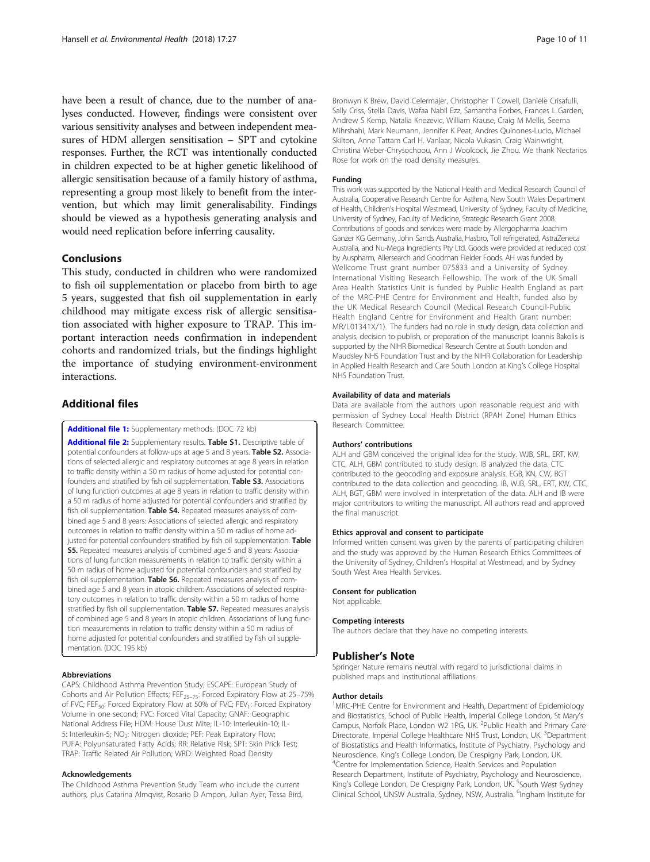<span id="page-9-0"></span>have been a result of chance, due to the number of analyses conducted. However, findings were consistent over various sensitivity analyses and between independent measures of HDM allergen sensitisation – SPT and cytokine responses. Further, the RCT was intentionally conducted in children expected to be at higher genetic likelihood of allergic sensitisation because of a family history of asthma, representing a group most likely to benefit from the intervention, but which may limit generalisability. Findings should be viewed as a hypothesis generating analysis and would need replication before inferring causality.

## Conclusions

This study, conducted in children who were randomized to fish oil supplementation or placebo from birth to age 5 years, suggested that fish oil supplementation in early childhood may mitigate excess risk of allergic sensitisation associated with higher exposure to TRAP. This important interaction needs confirmation in independent cohorts and randomized trials, but the findings highlight the importance of studying environment-environment interactions.

## Additional files

[Additional file 1:](https://doi.org/10.1186/s12940-018-0370-5) Supplementary methods. (DOC 72 kb)

[Additional file 2:](https://doi.org/10.1186/s12940-018-0370-5) Supplementary results. Table S1. Descriptive table of potential confounders at follow-ups at age 5 and 8 years. Table S2. Associations of selected allergic and respiratory outcomes at age 8 years in relation to traffic density within a 50 m radius of home adjusted for potential confounders and stratified by fish oil supplementation. Table S3. Associations of lung function outcomes at age 8 years in relation to traffic density within a 50 m radius of home adjusted for potential confounders and stratified by fish oil supplementation. Table S4. Repeated measures analysis of combined age 5 and 8 years: Associations of selected allergic and respiratory outcomes in relation to traffic density within a 50 m radius of home adjusted for potential confounders stratified by fish oil supplementation. Table S5. Repeated measures analysis of combined age 5 and 8 years: Associations of lung function measurements in relation to traffic density within a 50 m radius of home adjusted for potential confounders and stratified by fish oil supplementation. Table S6. Repeated measures analysis of combined age 5 and 8 years in atopic children: Associations of selected respiratory outcomes in relation to traffic density within a 50 m radius of home stratified by fish oil supplementation. Table S7. Repeated measures analysis of combined age 5 and 8 years in atopic children. Associations of lung function measurements in relation to traffic density within a 50 m radius of home adjusted for potential confounders and stratified by fish oil supplementation. (DOC 195 kb)

#### Abbreviations

CAPS: Childhood Asthma Prevention Study; ESCAPE: European Study of Cohorts and Air Pollution Effects; FEF<sub>25-75</sub>: Forced Expiratory Flow at 25-75% of FVC; FEF<sub>50</sub>: Forced Expiratory Flow at 50% of FVC; FEV<sub>1</sub>: Forced Expiratory Volume in one second; FVC: Forced Vital Capacity; GNAF: Geographic National Address File; HDM: House Dust Mite; IL-10: Interleukin-10; IL-5: Interleukin-5; NO<sub>2</sub>: Nitrogen dioxide; PEF: Peak Expiratory Flow; PUFA: Polyunsaturated Fatty Acids; RR: Relative Risk; SPT: Skin Prick Test; TRAP: Traffic Related Air Pollution; WRD: Weighted Road Density

#### Acknowledgements

The Childhood Asthma Prevention Study Team who include the current authors, plus Catarina Almqvist, Rosario D Ampon, Julian Ayer, Tessa Bird, Bronwyn K Brew, David Celermajer, Christopher T Cowell, Daniele Crisafulli, Sally Criss, Stella Davis, Wafaa Nabil Ezz, Samantha Forbes, Frances L Garden, Andrew S Kemp, Natalia Knezevic, William Krause, Craig M Mellis, Seema Mihrshahi, Mark Neumann, Jennifer K Peat, Andres Quinones-Lucio, Michael Skilton, Anne Tattam Carl H. Vanlaar, Nicola Vukasin, Craig Wainwright, Christina Weber-Chrysochoou, Ann J Woolcock, Jie Zhou. We thank Nectarios Rose for work on the road density measures.

#### Funding

This work was supported by the National Health and Medical Research Council of Australia, Cooperative Research Centre for Asthma, New South Wales Department of Health, Children's Hospital Westmead, University of Sydney, Faculty of Medicine, University of Sydney, Faculty of Medicine, Strategic Research Grant 2008. Contributions of goods and services were made by Allergopharma Joachim Ganzer KG Germany, John Sands Australia, Hasbro, Toll refrigerated, AstraZeneca Australia, and Nu-Mega Ingredients Pty Ltd. Goods were provided at reduced cost by Auspharm, Allersearch and Goodman Fielder Foods. AH was funded by Wellcome Trust grant number 075833 and a University of Sydney International Visiting Research Fellowship. The work of the UK Small Area Health Statistics Unit is funded by Public Health England as part of the MRC-PHE Centre for Environment and Health, funded also by the UK Medical Research Council (Medical Research Council-Public Health England Centre for Environment and Health Grant number: MR/L01341X/1). The funders had no role in study design, data collection and analysis, decision to publish, or preparation of the manuscript. Ioannis Bakolis is supported by the NIHR Biomedical Research Centre at South London and Maudsley NHS Foundation Trust and by the NIHR Collaboration for Leadership in Applied Health Research and Care South London at King's College Hospital NHS Foundation Trust.

#### Availability of data and materials

Data are available from the authors upon reasonable request and with permission of Sydney Local Health District (RPAH Zone) Human Ethics Research Committee.

#### Authors' contributions

ALH and GBM conceived the original idea for the study. WJB, SRL, ERT, KW, CTC, ALH, GBM contributed to study design. IB analyzed the data. CTC contributed to the geocoding and exposure analysis. EGB, KN, CW, BGT contributed to the data collection and geocoding. IB, WJB, SRL, ERT, KW, CTC, ALH, BGT, GBM were involved in interpretation of the data. ALH and IB were major contributors to writing the manuscript. All authors read and approved the final manuscript.

#### Ethics approval and consent to participate

Informed written consent was given by the parents of participating children and the study was approved by the Human Research Ethics Committees of the University of Sydney, Children's Hospital at Westmead, and by Sydney South West Area Health Services.

#### Consent for publication

Not applicable.

#### Competing interests

The authors declare that they have no competing interests.

## Publisher's Note

Springer Nature remains neutral with regard to jurisdictional claims in published maps and institutional affiliations.

## Author details

<sup>1</sup>MRC-PHE Centre for Environment and Health, Department of Epidemiology and Biostatistics, School of Public Health, Imperial College London, St Mary's Campus, Norfolk Place, London W2 1PG, UK. <sup>2</sup>Public Health and Primary Care Directorate, Imperial College Healthcare NHS Trust, London, UK. <sup>3</sup>Department of Biostatistics and Health Informatics, Institute of Psychiatry, Psychology and Neuroscience, King's College London, De Crespigny Park, London, UK. <sup>4</sup> <sup>4</sup> Centre for Implementation Science, Health Services and Population Research Department, Institute of Psychiatry, Psychology and Neuroscience, King's College London, De Crespigny Park, London, UK. <sup>5</sup>South West Sydney Clinical School, UNSW Australia, Sydney, NSW, Australia. <sup>6</sup>Ingham Institute for